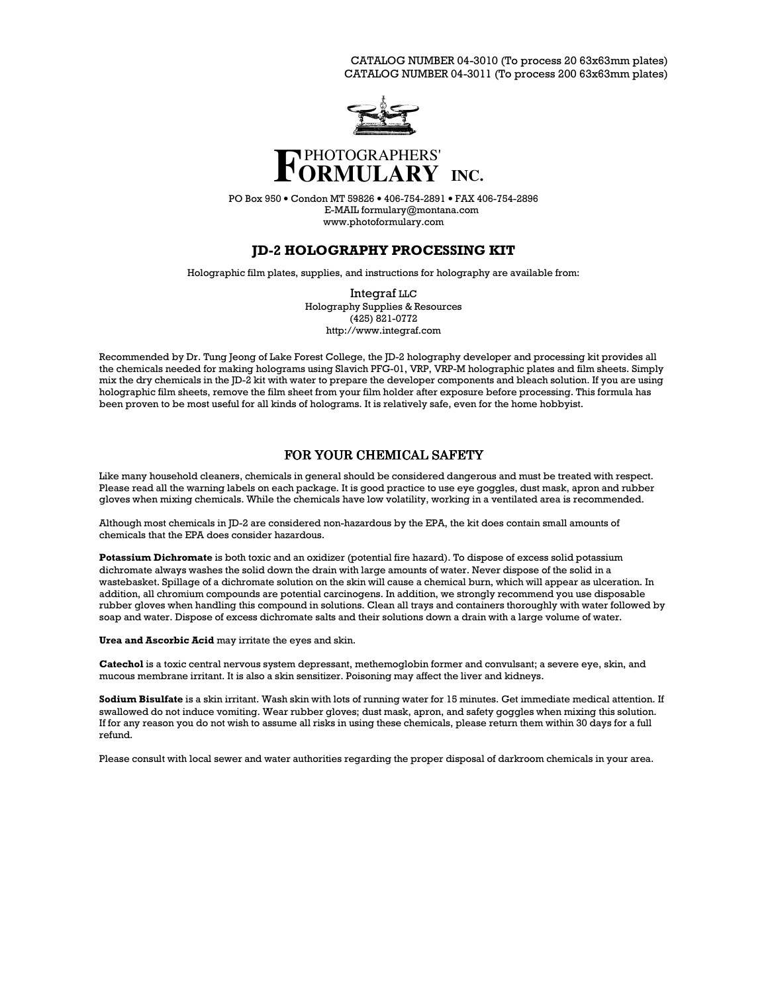CATALOG NUMBER 04-3010 (To process 20 63x63mm plates) CATALOG NUMBER 04-3011 (To process 200 63x63mm plates)



# **INC.**

PO Box 950 • Condon MT 59826 • 406-754-2891 • FAX 406-754-2896 E-MAIL formulary@montana.com www.photoformulary.com

# **JD-2 HOLOGRAPHY PROCESSING KIT**

Holographic film plates, supplies, and instructions for holography are available from:

Integraf  $_{LLC}$ Holography Supplies & Resources  $(425)$  821-0772 http://www.integraf.com

Recommended by Dr. Tung Jeong of Lake Forest College, the JD-2 holography developer and processing kit provides all the chemicals needed for making holograms using Slavich PFG-01, VRP, VRP-M holographic plates and film sheets. Simply mix the dry chemicals in the JD-2 kit with water to prepare the developer components and bleach solution. If you are using holographic film sheets, remove the film sheet from your film holder after exposure before processing. This formula has been proven to be most useful for all kinds of holograms. It is relatively safe, even for the home hobbyist.

# FOR YOUR CHEMICAL SAFETY

Like many household cleaners, chemicals in general should be considered dangerous and must be treated with respect. Please read all the warning labels on each package. It is good practice to use eye goggles, dust mask, apron and rubber gloves when mixing chemicals. While the chemicals have low volatility, working in a ventilated area is recommended.

Although most chemicals in JD-2 are considered non-hazardous by the EPA, the kit does contain small amounts of chemicals that the EPA does consider hazardous.

**Potassium Dichromate** is both toxic and an oxidizer (potential fire hazard). To dispose of excess solid potassium dichromate always washes the solid down the drain with large amounts of water. Never dispose of the solid in a wastebasket. Spillage of a dichromate solution on the skin will cause a chemical burn, which will appear as ulceration. In addition, all chromium compounds are potential carcinogens. In addition, we strongly recommend you use disposable rubber gloves when handling this compound in solutions. Clean all trays and containers thoroughly with water followed by soap and water. Dispose of excess dichromate salts and their solutions down a drain with a large volume of water.

Urea and Ascorbic Acid may irritate the eyes and skin.

Catechol is a toxic central nervous system depressant, methemoglobin former and convulsant; a severe eye, skin, and mucous membrane irritant. It is also a skin sensitizer. Poisoning may affect the liver and kidneys.

Sodium Bisulfate is a skin irritant. Wash skin with lots of running water for 15 minutes. Get immediate medical attention. If swallowed do not induce vomiting. Wear rubber gloves; dust mask, apron, and safety goggles when mixing this solution. If for any reason you do not wish to assume all risks in using these chemicals, please return them within 30 days for a full refund

Please consult with local sewer and water authorities regarding the proper disposal of darkroom chemicals in your area.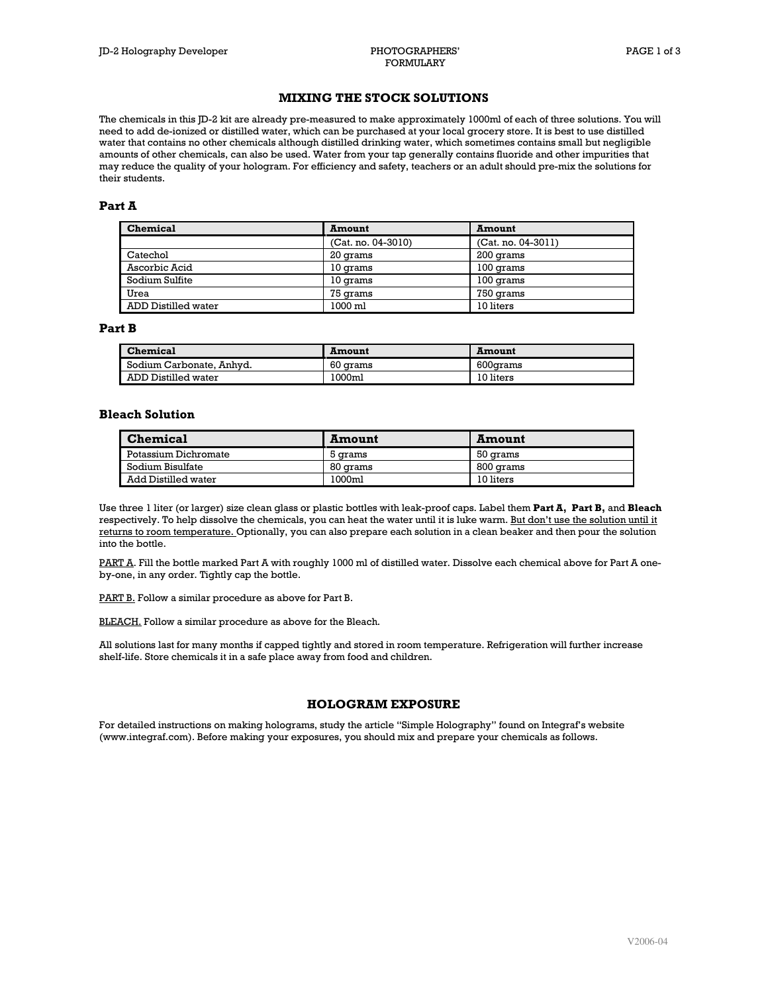## **MIXING THE STOCK SOLUTIONS**

The chemicals in this ID-2 kit are already pre-measured to make approximately 1000ml of each of three solutions. You will need to add de-ionized or distilled water, which can be purchased at your local grocery store. It is best to use distilled water that contains no other chemicals although distilled drinking water, which sometimes contains small but negligible amounts of other chemicals, can also be used. Water from your tap generally contains fluoride and other impurities that may reduce the quality of your hologram. For efficiency and safety, teachers or an adult should pre-mix the solutions for their students.

## Part A

| <b>Chemical</b>     | <b>Amount</b>        | <b>Amount</b>        |
|---------------------|----------------------|----------------------|
|                     | $(Cat. no. 04-3010)$ | $(Cat. no. 04-3011)$ |
| Catechol            | 20 grams             | 200 grams            |
| Ascorbic Acid       | 10 grams             | 100 grams            |
| Sodium Sulfite      | 10 grams             | 100 grams            |
| Urea                | 75 grams             | 750 grams            |
| ADD Distilled water | 1000 ml              | 10 liters            |

## Part B

| Chemical                 | <b>Amount</b> | <b>Amount</b> |
|--------------------------|---------------|---------------|
| Sodium Carbonate, Anhyd. | 60 grams      | 600arams      |
| ADD Distilled water      | 1000ml        | 10 liters     |

## **Bleach Solution**

| <b>Chemical</b>      | Amount   | Amount    |
|----------------------|----------|-----------|
| Potassium Dichromate | 5 arams  | 50 grams  |
| Sodium Bisulfate     | 80 grams | 800 grams |
| Add Distilled water  | 1000ml   | 10 liters |

Use three 1 liter (or larger) size clean glass or plastic bottles with leak-proof caps. Label them Part A, Part B, and Bleach respectively. To help dissolve the chemicals, you can heat the water until it is luke warm. But don't use the solution until it returns to room temperature. Optionally, you can also prepare each solution in a clean beaker and then pour the solution into the bottle.

PART A. Fill the bottle marked Part A with roughly 1000 ml of distilled water. Dissolve each chemical above for Part A oneby-one, in any order. Tightly cap the bottle.

PART B. Follow a similar procedure as above for Part B.

**BLEACH.** Follow a similar procedure as above for the Bleach.

All solutions last for many months if capped tightly and stored in room temperature. Refrigeration will further increase shelf-life. Store chemicals it in a safe place away from food and children.

## **HOLOGRAM EXPOSURE**

For detailed instructions on making holograms, study the article "Simple Holography" found on Integraf's website (www.integraf.com). Before making your exposures, you should mix and prepare your chemicals as follows.